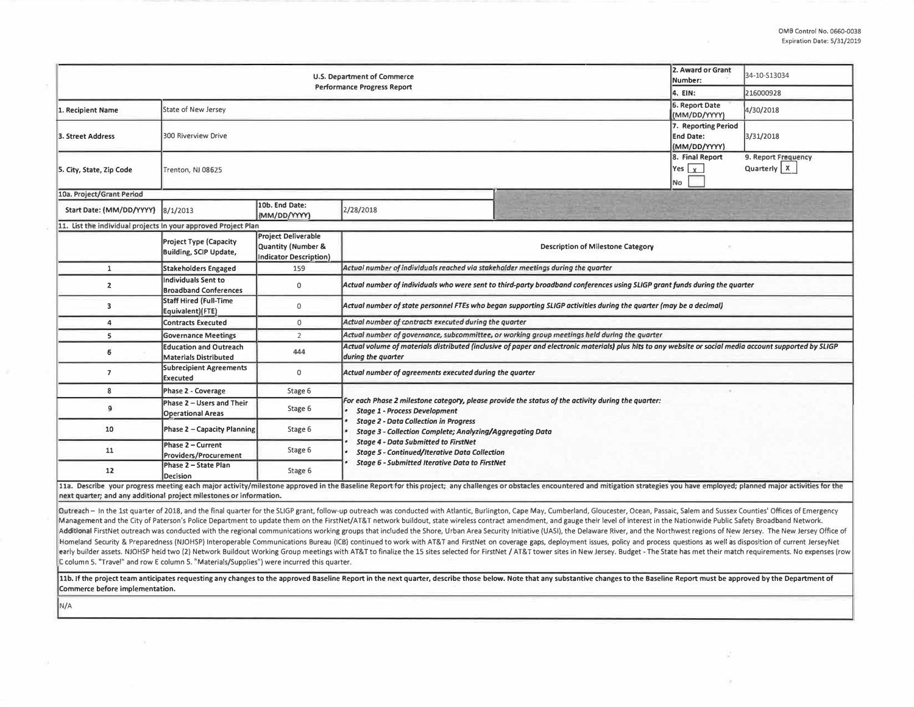| 2. Award or Grant<br>U.S. Department of Commerce<br>Number:    |                                                            |                                                                                   |                                                                                                                                                                                                                                |  |                                                         | 34-10-S13034                         |  |  |
|----------------------------------------------------------------|------------------------------------------------------------|-----------------------------------------------------------------------------------|--------------------------------------------------------------------------------------------------------------------------------------------------------------------------------------------------------------------------------|--|---------------------------------------------------------|--------------------------------------|--|--|
| <b>Performance Progress Report</b>                             |                                                            |                                                                                   |                                                                                                                                                                                                                                |  | 4. EIN:                                                 | 216000928                            |  |  |
| 1. Recipient Name                                              | State of New Jersey                                        |                                                                                   |                                                                                                                                                                                                                                |  | 6. Report Date<br>(MM/DD/YYYY)                          | 4/30/2018                            |  |  |
| 3. Street Address                                              | <b>300 Riverview Drive</b>                                 |                                                                                   |                                                                                                                                                                                                                                |  | 7. Reporting Period<br><b>End Date:</b><br>(MM/DD/YYYY) | 3/31/2018                            |  |  |
| 5. City, State, Zip Code                                       | Trenton, NJ 08625                                          |                                                                                   |                                                                                                                                                                                                                                |  | 8. Final Report<br>$ Yes _X $<br>No                     | 9. Report Frequency<br>Quarterly   X |  |  |
| 10a. Project/Grant Period                                      |                                                            |                                                                                   |                                                                                                                                                                                                                                |  |                                                         |                                      |  |  |
| Start Date: (MM/DD/YYYY)                                       | 10b. End Date:<br>8/1/2013<br>2/28/2018<br>(MM/DD/YYYY)    |                                                                                   |                                                                                                                                                                                                                                |  |                                                         |                                      |  |  |
| 11. List the individual projects in your approved Project Plan |                                                            |                                                                                   |                                                                                                                                                                                                                                |  |                                                         |                                      |  |  |
|                                                                | <b>Project Type (Capacity</b><br>Building, SCIP Update,    | <b>Project Deliverable</b><br>Quantity (Number &<br><b>Indicator Description)</b> | Description of Milestone Category                                                                                                                                                                                              |  |                                                         |                                      |  |  |
| $\mathbf{1}$                                                   | <b>Stakeholders Engaged</b>                                | 159                                                                               | Actual number of individuals reached via stakeholder meetings during the quarter                                                                                                                                               |  |                                                         |                                      |  |  |
| $\mathbf{z}$                                                   | <b>Individuals Sent to</b><br><b>Broadband Conferences</b> | 0                                                                                 | Actual number of individuals who were sent to third-party broadband conferences using SLIGP grant funds during the quarter                                                                                                     |  |                                                         |                                      |  |  |
| 3                                                              | <b>Staff Hired (Full-Time</b><br>Equivalent)(FTE)          | 0                                                                                 | Actual number of state personnel FTEs who began supporting SLIGP activities during the quarter (may be a decimal)                                                                                                              |  |                                                         |                                      |  |  |
| 4                                                              | <b>Contracts Executed</b>                                  | $\mathsf{O}$                                                                      | Actual number of contracts executed during the quarter                                                                                                                                                                         |  |                                                         |                                      |  |  |
| 5                                                              | <b>Governance Meetings</b>                                 | $\overline{2}$                                                                    | Actual number of governance, subcommittee, or working group meetings held during the quarter                                                                                                                                   |  |                                                         |                                      |  |  |
| 6                                                              | <b>Education and Outreach</b><br>Materials Distributed     | 444                                                                               | Actual volume of materials distributed (inclusive of paper and electronic materials) plus hits to any website or social media account supported by SLIGP<br>during the quarter                                                 |  |                                                         |                                      |  |  |
| $\overline{7}$                                                 | <b>Subrecipient Agreements</b><br><b>Executed</b>          | 0                                                                                 | Actual number of agreements executed during the quarter                                                                                                                                                                        |  |                                                         |                                      |  |  |
| 8                                                              | Phase 2 - Coverage                                         | Stage 6                                                                           |                                                                                                                                                                                                                                |  |                                                         |                                      |  |  |
| 9                                                              | Phase 2 - Users and Their<br><b>Operational Areas</b>      | Stage 6                                                                           | For each Phase 2 milestone category, please provide the status of the activity during the quarter:<br><b>Stage 1 - Process Development</b>                                                                                     |  |                                                         |                                      |  |  |
| 10                                                             | Phase 2 - Capacity Planning                                | Stage 6                                                                           | <b>Stage 2 - Data Collection in Progress</b><br>Stage 3 - Collection Complete; Analyzing/Aggregating Data                                                                                                                      |  |                                                         |                                      |  |  |
| 11                                                             | Phase 2 - Current<br>Providers/Procurement                 | Stage 6                                                                           | <b>Stage 4 - Data Submitted to FirstNet</b><br><b>Stage 5 - Continued/Iterative Data Collection</b><br><b>Stage 6 - Submitted Iterative Data to FirstNet</b>                                                                   |  |                                                         |                                      |  |  |
| 12                                                             | Phase 2 - State Plan<br><b>Decision</b>                    | Stage 6                                                                           |                                                                                                                                                                                                                                |  |                                                         |                                      |  |  |
|                                                                |                                                            |                                                                                   | 11a. Describe your progress meeting each major activity/milestone approved in the Baseline Report for this project; any challenges or obstacles encountered and mitigation strategies you have employed; planned major activit |  |                                                         |                                      |  |  |

**next quarter; and any additional project milestones or information.** 

Outreach - In the 1st quarter of 2018, and the final quarter for the SLIGP grant, follow-up outreach was conducted with Atlantic, Burlington, Cape May, Cumberland, Gloucester, Ocean, Passaic, Salem and Sussex Counties' Off Management and the City of Paterson's Police Department to update them on the FirstNet/AT&T network buildout, state wireless contract amendment, and gauge their level of interest in the Nationwide Public Safety Broadband N Additional FirstNet outreach was conducted with the regional communications working groups that included the Shore, Urban Area Security Initiative (UASI), the Delaware River, and the Northwest regions of New Jersey. The Ne Homeland Security & Preparedness (NJOHSP) Interoperable Communications Bureau (ICB) continued to work with AT&T and FirstNet on coverage gaps, deployment issues, policy and process questions as well as disposition of curre early builder assets. NJOHSP held two (2) Network Buildout Working Group meetings with AT&T to finalize the 15 sites selected for FirstNet / AT&T tower sites in New Jersey. Budget - The State has met their match requiremen **C column 5. "Travel" and row E column 5. "Materials/Supplies") were incurred this quarter\_** 

11b. If the project team anticipates requesting any changes to the approved Baseline Report in the next quarter, describe those below. Note that any substantive changes to the Baseline Report must be approved by the Depart **Commerce before implementation.** 

**N/A**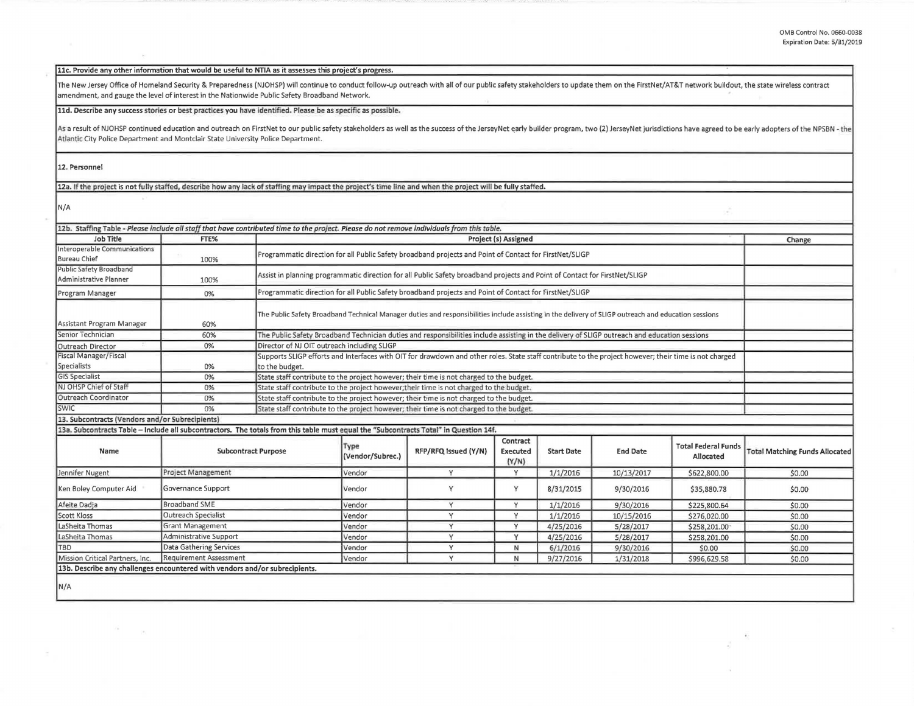d

## **llc. Provide any other information that would be useful to NTIA as it assesses this project's progress.**

The New Jersey Office of Homeland Security & Preparedness (NJOHSP) will continue to conduct follow-up outreach with all of our public safety stakeholders to update them on the FirstNet/AT&T network buildout, the state wire amendment, and **gauge** the level of interest in the Nationwide Public Safety Broadband Network.

## **lld. Describe any success stories or best practices you have identif<ed. Please be as specific as possible.**

As a result of NJOHSP continued education and outreach on FirstNet to our public safety stakeholders as well as the success of the JerseyNet early builder program, two (2) JerseyNet jurisdictions have agreed to be early ad Atlantic City **Police** Department **and** Montclair State University Police Department.

## **12. Personnel**

12a. If the project is not fully staffed, describe how any lack of staffing may impact the project's time line and when the project will be fully staffed.

**N/A** 

| <b>Job Title</b>                                                                                                                      | FTE%                       |                                                                             |                                                                                                                                                       |                      | <b>Project (s) Assigned</b>          |                   |                 |                                         | Change                                |
|---------------------------------------------------------------------------------------------------------------------------------------|----------------------------|-----------------------------------------------------------------------------|-------------------------------------------------------------------------------------------------------------------------------------------------------|----------------------|--------------------------------------|-------------------|-----------------|-----------------------------------------|---------------------------------------|
| Interoperable Communications<br><b>Bureau Chief</b>                                                                                   | 100%                       |                                                                             | Programmatic direction for all Public Safety broadband projects and Point of Contact for FirstNet/SLIGP                                               |                      |                                      |                   |                 |                                         |                                       |
| Public Safety Broadband<br>Administrative Planner                                                                                     | 100%                       |                                                                             | Assist in planning programmatic direction for all Public Safety broadband projects and Point of Contact for FirstNet/SLIGP                            |                      |                                      |                   |                 |                                         |                                       |
| Program Manager                                                                                                                       | 0%                         |                                                                             | Programmatic direction for all Public Safety broadband projects and Point of Contact for FirstNet/SLIGP                                               |                      |                                      |                   |                 |                                         |                                       |
| Assistant Program Manager                                                                                                             | 60%                        |                                                                             | The Public Safety Broadband Technical Manager duties and responsibilities include assisting in the delivery of SLIGP outreach and education sessions  |                      |                                      |                   |                 |                                         |                                       |
| Senior Technician                                                                                                                     | 60%                        |                                                                             | The Public Safety Broadband Technician duties and responsibilities include assisting in the delivery of SLIGP outreach and education sessions         |                      |                                      |                   |                 |                                         |                                       |
| Outreach Director                                                                                                                     | 0%                         |                                                                             | Director of NJ OIT outreach including SLIGP                                                                                                           |                      |                                      |                   |                 |                                         |                                       |
| Fiscal Manager/Fiscal<br>Specialists                                                                                                  | 0%                         | to the budget.                                                              | Supports SLIGP efforts and Interfaces with OIT for drawdown and other roles. State staff contribute to the project however; their time is not charged |                      |                                      |                   |                 |                                         |                                       |
| <b>GIS Specialist</b>                                                                                                                 | 0%                         |                                                                             | State staff contribute to the project however; their time is not charged to the budget.                                                               |                      |                                      |                   |                 |                                         |                                       |
| NJ OHSP Chief of Staff                                                                                                                | 0%                         |                                                                             | State staff contribute to the project however; their time is not charged to the budget.                                                               |                      |                                      |                   |                 |                                         |                                       |
| Outreach Coordinator                                                                                                                  | 0%                         |                                                                             | State staff contribute to the project however; their time is not charged to the budget.                                                               |                      |                                      |                   |                 |                                         |                                       |
| <b>SWIC</b>                                                                                                                           | 0%                         |                                                                             | State staff contribute to the project however; their time is not charged to the budget.                                                               |                      |                                      |                   |                 |                                         |                                       |
| 13. Subcontracts (Vendors and/or Subrecipients)                                                                                       |                            |                                                                             |                                                                                                                                                       |                      |                                      |                   |                 |                                         |                                       |
| 13a. Subcontracts Table - Include all subcontractors. The totals from this table must equal the "Subcontracts Total" in Question 14f. |                            |                                                                             |                                                                                                                                                       |                      |                                      |                   |                 |                                         |                                       |
| Name                                                                                                                                  | <b>Subcontract Purpose</b> |                                                                             | Type<br>(Vendor/Subrec.)                                                                                                                              | RFP/RFQ Issued (Y/N) | Contract<br><b>Executed</b><br>(Y/N) | <b>Start Date</b> | <b>End Date</b> | <b>Total Federal Funds</b><br>Allocated | <b>Total Matching Funds Allocated</b> |
| Jennifer Nugent                                                                                                                       | Project Management         |                                                                             | Vendor                                                                                                                                                | v                    | V                                    | 1/1/2016          | 10/13/2017      | \$622,800.00                            | \$0.00                                |
| Ken Boley Computer Aid                                                                                                                | Governance Support         |                                                                             | Vendor                                                                                                                                                | Y                    | Y                                    | 8/31/2015         | 9/30/2016       | \$35,880.78                             | \$0.00                                |
| Afeite Dadia                                                                                                                          | <b>Broadband SME</b>       |                                                                             | Vendor                                                                                                                                                | v                    | $\vee$                               | 1/1/2016          | 9/30/2016       | \$225,800.64                            | \$0.00                                |
| <b>Scott Kloss</b>                                                                                                                    | <b>Outreach Specialist</b> |                                                                             | Vendor                                                                                                                                                | v                    | $\vee$                               | 1/1/2016          | 10/15/2016      | \$276,020.00                            | \$0.00                                |
| LaSheita Thomas                                                                                                                       | Grant Management           |                                                                             | Vendor                                                                                                                                                | Y                    | $\mathsf{v}$                         | 4/25/2016         | 5/28/2017       | \$258,201.00                            | \$0.00                                |
| LaSheita Thomas                                                                                                                       | Administrative Support     |                                                                             | Vendor                                                                                                                                                | $\vee$               | Y                                    | 4/25/2016         | 5/28/2017       | \$258,201.00                            | \$0.00                                |
| <b>TBD</b>                                                                                                                            | Data Gathering Services    |                                                                             | Vendor                                                                                                                                                | $\vee$               | N                                    | 6/1/2016          | 9/30/2016       | \$0.00                                  | \$0.00                                |
| Mission Critical Partners, Inc.                                                                                                       | Requirement Assessment     |                                                                             | Vendor                                                                                                                                                | $\mathsf{v}$         | N                                    | 9/27/2016         | 1/31/2018       | \$996,629.58                            | \$0.00                                |
|                                                                                                                                       |                            | 13b. Describe any challenges encountered with vendors and/or subrecipients. |                                                                                                                                                       |                      |                                      |                   |                 |                                         |                                       |

**N/A** 

 $\sqrt{g}$ 

 $(0)$